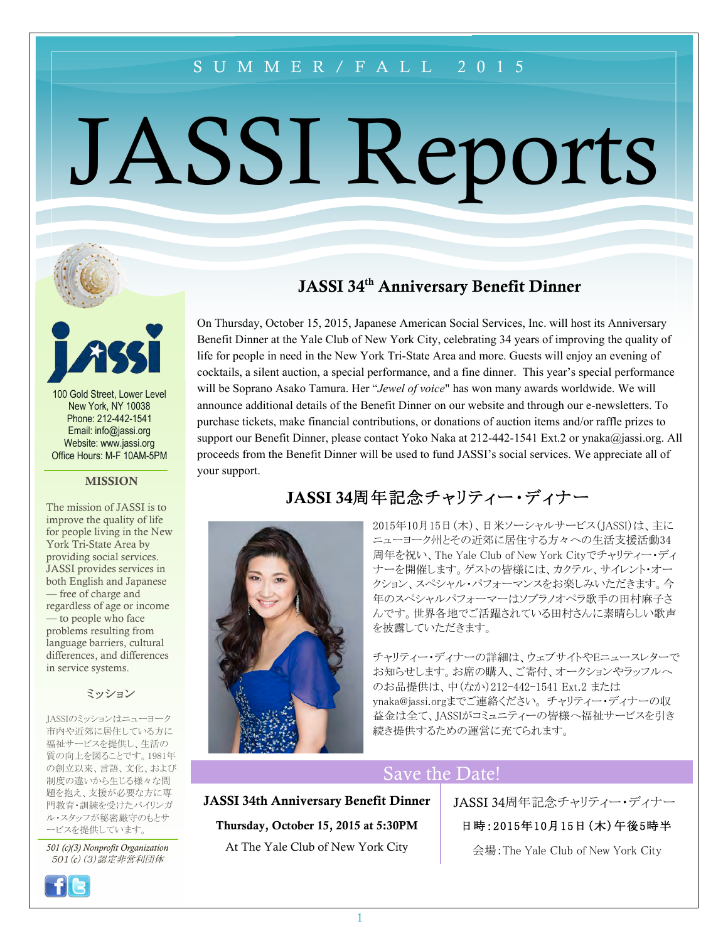## SUMMER/FALL 2015

# JASSI Reports



100 Gold Street, Lower Level New York, NY 10038 Phone: 212-442-1541 Email: info@jassi.org Website: www.jassi.org Office Hours: M-F 10AM-5PM

#### **MISSION**

The mission of JASSI is to improve the quality of life for people living in the New York Tri-State Area by providing social services. JASSI provides services in both English and Japanese — free of charge and regardless of age or income — to people who face problems resulting from language barriers, cultural differences, and differences in service systems.

#### ミッション

JASSIのミッションはニューヨーク 市内や近郊に居住している方に 福祉サービスを提供し、生活の 質の向上を図ることです。1981年 の創立以来、言語、文化、および 制度の違いから生じる様々な問 題を抱え、支援が必要な方に専 門教育・訓練を受けたバイリンガ ル・スタッフが秘密厳守のもとサ ービスを提供しています。

*501 (c)(3) Nonprofit Organization* 501(*c*)(3)認定非営利団体



## JASSI 34<sup>th</sup> Anniversary Benefit Dinner

On Thursday, October 15, 2015, Japanese American Social Services, Inc. will host its Anniversary Benefit Dinner at the Yale Club of New York City, celebrating 34 years of improving the quality of life for people in need in the New York Tri-State Area and more. Guests will enjoy an evening of cocktails, a silent auction, a special performance, and a fine dinner. This year's special performance will be Soprano Asako Tamura. Her "*Jewel of voice*" has won many awards worldwide. We will announce additional details of the Benefit Dinner on our website and through our e-newsletters. To purchase tickets, make financial contributions, or donations of auction items and/or raffle prizes to support our Benefit Dinner, please contact Yoko Naka at 212-442-1541 Ext.2 or ynaka@jassi.org. All proceeds from the Benefit Dinner will be used to fund JASSI's social services. We appreciate all of your support.





チャリティー・ディナーの詳細は、ウェブサイトやEニュースレターで お知らせします。お席の購入、ご寄付、オークションやラッフルへ のお品提供は、中(なか)212-442-1541 Ext.2 または ynaka@jassi.orgまでご連絡ください。 チャリティー・ディナーの収 益金は全て、JASSIがコミュニティーの皆様へ福祉サービスを引き 続き提供するための運営に充てられます。

## Save the Date!

JASSI 34th Anniversary Benefit Dinner Thursday, October 15, 2015 at 5:30PM At The Yale Club of New York City

#### JASSI 34周年記念チャリティー・ディナー

#### 日時:2015年10月15日(木)午後5時半

会場:The Yale Club of New York City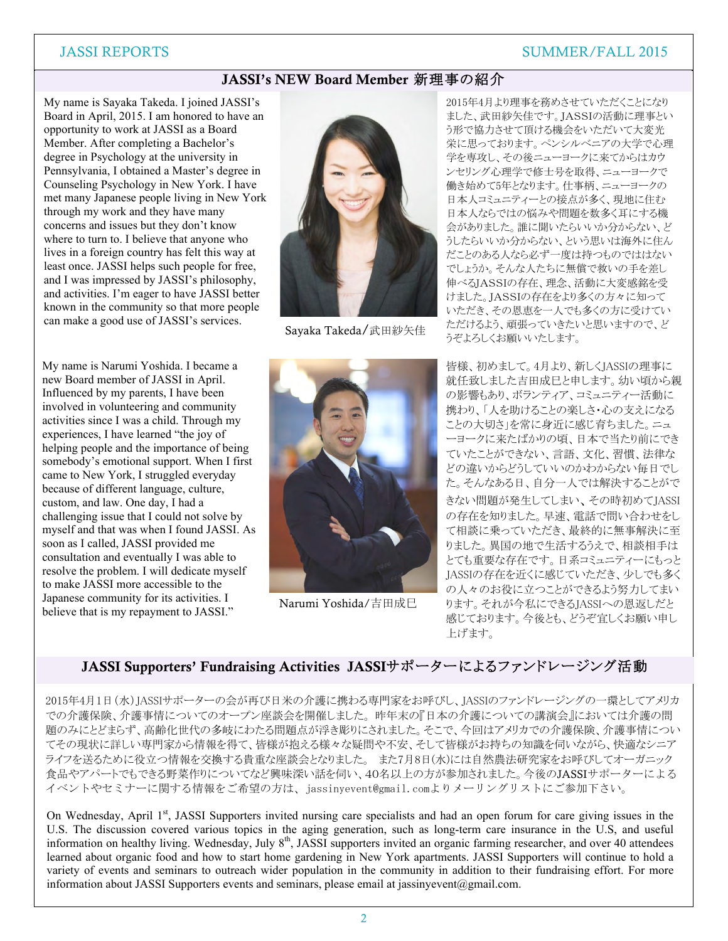#### JASSI REPORTS SUMMER/FALL 2015

#### JASSI's NEW Board Member 新理事の紹介

can make a good use of JASSI's services. My name is Sayaka Takeda. I joined JASSI's Board in April, 2015. I am honored to have an opportunity to work at JASSI as a Board Member. After completing a Bachelor's degree in Psychology at the university in Pennsylvania, I obtained a Master's degree in Counseling Psychology in New York. I have met many Japanese people living in New York through my work and they have many concerns and issues but they don't know where to turn to. I believe that anyone who lives in a foreign country has felt this way at least once. JASSI helps such people for free, and I was impressed by JASSI's philosophy, and activities. I'm eager to have JASSI better known in the community so that more people

My name is Narumi Yoshida. I became a new Board member of JASSI in April. Influenced by my parents, I have been involved in volunteering and community activities since I was a child. Through my experiences, I have learned "the joy of helping people and the importance of being somebody's emotional support. When I first came to New York, I struggled everyday because of different language, culture, custom, and law. One day, I had a challenging issue that I could not solve by myself and that was when I found JASSI. As soon as I called, JASSI provided me consultation and eventually I was able to resolve the problem. I will dedicate myself to make JASSI more accessible to the Japanese community for its activities. I believe that is my repayment to JASSI."



Eventual de la construction de la construction de la construction de la construction de la construction de la<br>Eventual Sayaka Takeda/武田紗矢佳



Narumi Yoshida/吉田成巳

2015年4月より理事を務めさせていただくことになり ました、武田紗矢佳です。JASSIの活動に理事とい う形で協力させて頂ける機会をいただいて大変光 栄に思っております。ペンシルベニアの大学で心理 学を専攻し、その後ニューヨークに来てからはカウ ンセリング心理学で修士号を取得、ニューヨークで 働き始めて5年となります。仕事柄、ニューヨークの 日本人コミュニティーとの接点が多く、現地に住む 日本人ならではの悩みや問題を数多く耳にする機 会がありました。誰に聞いたらいいか分からない、ど うしたらいいか分からない、という思いは海外に住ん だことのある人なら必ず一度は持つものでははない でしょうか。そんな人たちに無償で救いの手を差し 伸べるJASSIの存在、理念、活動に大変感銘を受 けました。JASSIの存在をより多くの方々に知って いただき、その恩恵を一人でも多くの方に受けてい ただけるよう、頑張っていきたいと思いますので、ど うぞよろしくお願いいたします。

皆様、初めまして。4月より、新しくJASSIの理事に 就任致しました吉田成巳と申します。幼い頃から親 の影響もあり、ボランティア、コミュニティー活動に 携わり、「人を助けることの楽しさ・心の支えになる ことの大切さ」を常に身近に感じ育ちました。ニュ ーヨークに来たばかりの頃、日本で当たり前にでき ていたことができない、言語、文化、習慣、法律な どの違いからどうしていいのかわからない毎日でし た。そんなある日、自分一人では解決することがで きない問題が発生してしまい、その時初めてJASSI の存在を知りました。早速、電話で問い合わせをし て相談に乗っていただき、最終的に無事解決に至 りました。異国の地で生活するうえで、相談相手は とても重要な存在です。日系コミュニティーにもっと JASSIの存在を近くに感じていただき、少しでも多く の人々のお役に立つことができるよう努力してまい ります。それが今私にできるJASSIへの恩返しだと 感じております。今後とも、どうぞ宜しくお願い申し 上げます。

#### JASSI Supporters' Fundraising Activities JASSIサポーターによるファンドレージング活動

2015年4月1日(水)JASSIサポーターの会が再び日米の介護に携わる専門家をお呼びし、JASSIのファンドレージングの一環としてアメリカ での介護保険、介護事情についてのオープン座談会を開催しました。 昨年末の『日本の介護についての講演会』においては介護の問 題のみにとどまらず、高齢化世代の多岐にわたる問題点が浮き彫りにされました。そこで、今回はアメリカでの介護保険、介護事情につい てその現状に詳しい専門家から情報を得て、皆様が抱える様々な疑問や不安、そして皆様がお持ちの知識を伺いながら、快適なシニア ライフを送るために役立つ情報を交換する貴重な座談会となりました。 また7月8日(水)には自然農法研究家をお呼びしてオーガニック 食品やアパートでもできる野菜作りについてなど興味深い話を伺い、40名以上の方が参加されました。今後のJASSIサポーターによる イベントやセミナーに関する情報をご希望の方は、jassinyevent@gmail.comよりメーリングリストにご参加下さい。

On Wednesday, April 1<sup>st</sup>, JASSI Supporters invited nursing care specialists and had an open forum for care giving issues in the U.S. The discussion covered various topics in the aging generation, such as long-term care insurance in the U.S, and useful information on healthy living. Wednesday, July 8<sup>th</sup>, JASSI supporters invited an organic farming researcher, and over 40 attendees learned about organic food and how to start home gardening in New York apartments. JASSI Supporters will continue to hold a variety of events and seminars to outreach wider population in the community in addition to their fundraising effort. For more information about JASSI Supporters events and seminars, please email at jassinyevent@gmail.com.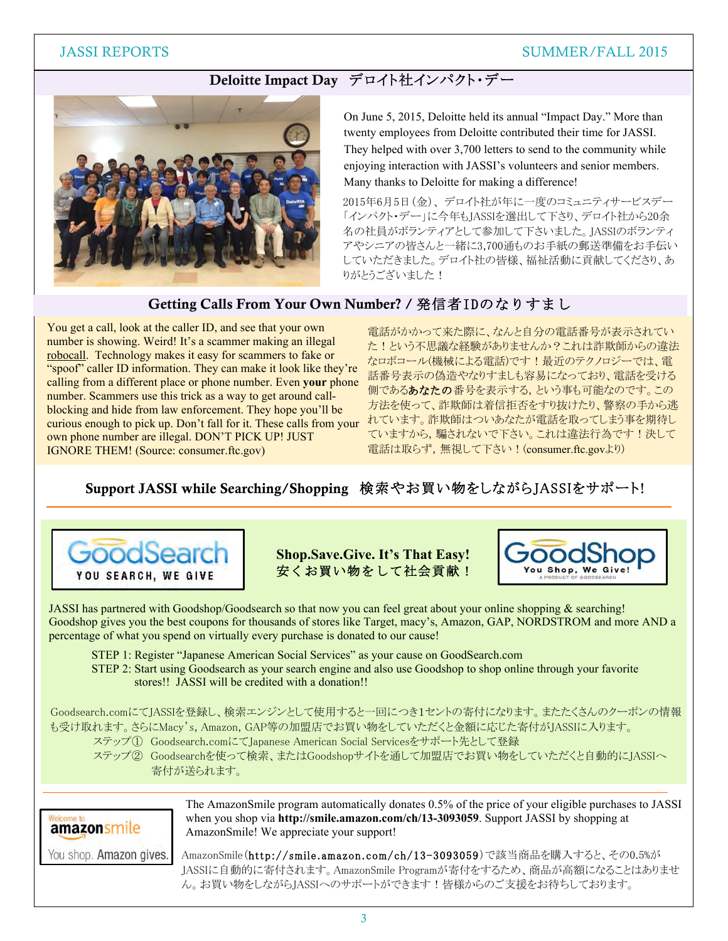#### JASSI REPORTS SUMMER/FALL 2015

### Deloitte Impact Day デロイト社インパクト・デー



On June 5, 2015, Deloitte held its annual "Impact Day." More than twenty employees from Deloitte contributed their time for JASSI. They helped with over 3,700 letters to send to the community while enjoying interaction with JASSI's volunteers and senior members. Many thanks to Deloitte for making a difference!

2015年6月5日(金)、 デロイト社が年に一度のコミュニティサービスデー 「インパクト・デー」に今年もJASSIを選出して下さり、デロイト社から20余 名の社員がボランティアとして参加して下さいました。JASSIのボランティ アやシニアの皆さんと一緒に3,700通ものお手紙の郵送準備をお手伝い していただきました。デロイト社の皆様、福祉活動に貢献してくださり、あ りがとうございました!

#### Getting Calls From Your Own Number? / 発信者IDのなりすまし

You get a call, look at the caller ID, and see that your own number is showing. Weird! It's a scammer making an illegal robocall. Technology makes it easy for scammers to fake or "spoof" caller ID information. They can make it look like they're calling from a different place or phone number. Even **your** phone number. Scammers use this trick as a way to get around callblocking and hide from law enforcement. They hope you'll be curious enough to pick up. Don't fall for it. These calls from your own phone number are illegal. DON'T PICK UP! JUST IGNORE THEM! (Source: consumer.ftc.gov)

電話がかかって来た際に、なんと自分の電話番号が表示されてい た!という不思議な経験がありませんか?これは詐欺師からの違法 なロボコール(機械による電話)です!最近のテクノロジーでは、電 話番号表示の偽造やなりすましも容易になっており、電話を受ける 側であるあなたの番号を表示する,という事も可能なのです。この 方法を使って、詐欺師は着信拒否をすり抜けたり、警察の手から逃 れています。詐欺師はついあなたが電話を取ってしまう事を期待し ていますから,騙されないで下さい。これは違法行為です!決して 電話は取らず,無視して下さい!(consumer.ftc.govより)

## Support JASSI while Searching/Shopping 検索やお買い物をしながらJASSIをサポート!



**Shop.Save.Give. It's That Easy!** 安くお買い物をして社会貢献!



JASSI has partnered with Goodshop/Goodsearch so that now you can feel great about your online shopping & searching! Goodshop gives you the best coupons for thousands of stores like Target, macy's, Amazon, GAP, NORDSTROM and more AND a percentage of what you spend on virtually every purchase is donated to our cause!

STEP 1: Register "Japanese American Social Services" as your cause on GoodSearch.com

STEP 2: Start using Goodsearch as your search engine and also use Goodshop to shop online through your favorite stores!! JASSI will be credited with a donation!!

Goodsearch.comにてJASSIを登録し、検索エンジンとして使用すると一回につき1セントの寄付になります。またたくさんのクーポンの情報 も受け取れます。さらにMacy's, Amazon, GAP等の加盟店でお買い物をしていただくと金額に応じた寄付がJASSIに入ります。

- ステップ① Goodsearch.comにてJapanese American Social Servicesをサポート先として登録
- ステップ② Goodsearchを使って検索、またはGoodshopサイトを通して加盟店でお買い物をしていただくと自動的にJASSIへ 寄付が送られます。

amazonsmile

The AmazonSmile program automatically donates 0.5% of the price of your eligible purchases to JASSI when you shop via **http://smile.amazon.com/ch/13-3093059**. Support JASSI by shopping at AmazonSmile! We appreciate your support!

You shop. Amazon gives.

AmazonSmile(http://smile.amazon.com/ch/13-3093059)で該当商品を購入すると、その0.5%が JASSIに自動的に寄付されます。AmazonSmile Programが寄付をするため、商品が高額になることはありませ ん。お買い物をしながらJASSIへのサポートができます!皆様からのご支援をお待ちしております。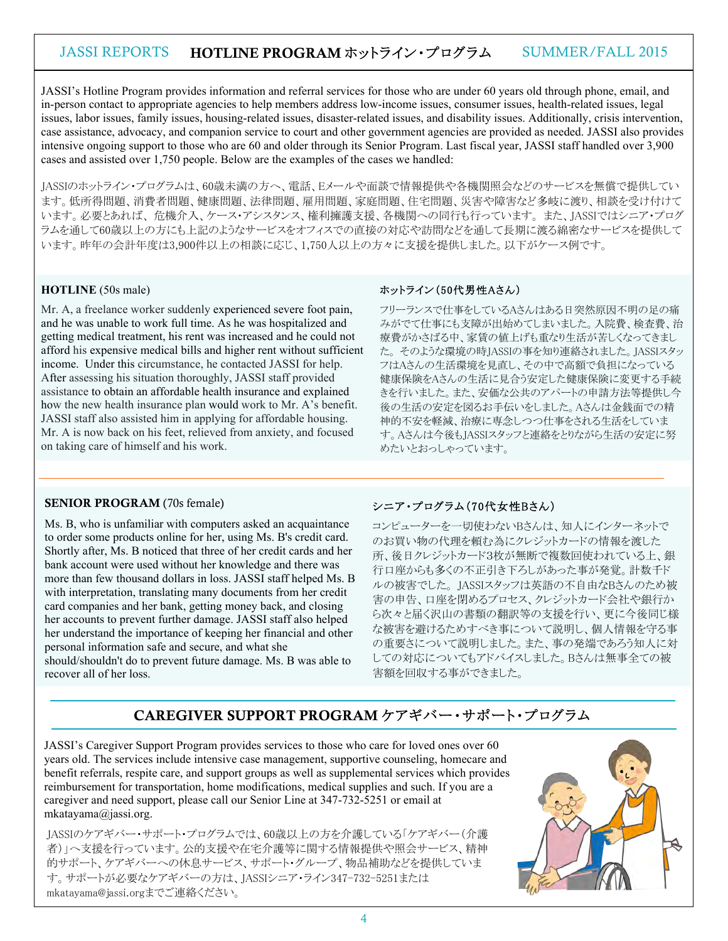## JASSI REPORTS HOTLINE PROGRAM ホットライン・プログラム SUMMER/FALL 2015

JASSI's Hotline Program provides information and referral services for those who are under 60 years old through phone, email, and in-person contact to appropriate agencies to help members address low-income issues, consumer issues, health-related issues, legal issues, labor issues, family issues, housing-related issues, disaster-related issues, and disability issues. Additionally, crisis intervention, case assistance, advocacy, and companion service to court and other government agencies are provided as needed. JASSI also provides intensive ongoing support to those who are 60 and older through its Senior Program. Last fiscal year, JASSI staff handled over 3,900 cases and assisted over 1,750 people. Below are the examples of the cases we handled:

JASSIのホットライン・プログラムは、60歳未満の方へ、電話、Eメールや面談で情報提供や各機関照会などのサービスを無償で提供してい ます。低所得問題、消費者問題、健康問題、法律問題、雇用問題、家庭問題、住宅問題、災害や障害など多岐に渡り、相談を受け付けて います。必要とあれば、 危機介入、ケース・アシスタンス、権利擁護支援、各機関への同行も行っています。 また、JASSIではシニア・プログ ラムを通して60歳以上の方にも上記のようなサービスをオフィスでの直接の対応や訪問などを通して長期に渡る綿密なサービスを提供して います。昨年の会計年度は3,900件以上の相談に応じ、1,750人以上の方々に支援を提供しました。以下がケース例です。

#### **HOTLINE** (50s male)

Mr. A, a freelance worker suddenly experienced severe foot pain, and he was unable to work full time. As he was hospitalized and getting medical treatment, his rent was increased and he could not afford his expensive medical bills and higher rent without sufficient income. Under this circumstance, he contacted JASSI for help. After assessing his situation thoroughly, JASSI staff provided assistance to obtain an affordable health insurance and explained how the new health insurance plan would work to Mr. A's benefit. JASSI staff also assisted him in applying for affordable housing. Mr. A is now back on his feet, relieved from anxiety, and focused on taking care of himself and his work.

#### ホットライン(50代男性Aさん)

フリーランスで仕事をしているAさんはある日突然原因不明の足の痛 みがでて仕事にも支障が出始めてしまいました。入院費、検査費、治 療費がかさばる中、家賃の値上げも重なり生活が苦しくなってきまし た。 そのような環境の時JASSIの事を知り連絡されました。JASSIスタッ フはAさんの生活環境を見直し、その中で高額で負担になっている 健康保険をAさんの生活に見合う安定した健康保険に変更する手続 きを行いました。また、安価な公共のアパートの申請方法等提供し今 後の生活の安定を図るお手伝いをしました。Aさんは金銭面での精 神的不安を軽減、治療に専念しつつ仕事をされる生活をしていま す。Aさんは今後もJASSIスタッフと連絡をとりながら生活の安定に努 めたいとおっしゃっています。

#### SENIOR PROGRAM (70s female)

Ms. B, who is unfamiliar with computers asked an acquaintance to order some products online for her, using Ms. B's credit card. Shortly after, Ms. B noticed that three of her credit cards and her bank account were used without her knowledge and there was more than few thousand dollars in loss. JASSI staff helped Ms. B with interpretation, translating many documents from her credit card companies and her bank, getting money back, and closing her accounts to prevent further damage. JASSI staff also helped her understand the importance of keeping her financial and other personal information safe and secure, and what she

should/shouldn't do to prevent future damage. Ms. B was able to recover all of her loss.

#### シニア・プログラム(70代女性Bさん)

コンピューターを一切使わないBさんは、知人にインターネットで のお買い物の代理を頼む為にクレジットカードの情報を渡した 所、後日クレジットカード3枚が無断で複数回使われている上、銀 行口座からも多くの不正引き下ろしがあった事が発覚。計数千ド ルの被害でした。 JASSIスタッフは英語の不自由なBさんのため被 害の申告、口座を閉めるプロセス、クレジットカード会社や銀行か ら次々と届く沢山の書類の翻訳等の支援を行い、更に今後同じ様 な被害を避けるためすべき事について説明し、個人情報を守る事 の重要さについて説明しました。また、事の発端であろう知人に対 しての対応についてもアドバイスしました。Bさんは無事全ての被 害額を回収する事ができました。

#### CAREGIVER SUPPORT PROGRAM ケアギバー・サポート・プログラム

JASSI's Caregiver Support Program provides services to those who care for loved ones over 60 years old. The services include intensive case management, supportive counseling, homecare and benefit referrals, respite care, and support groups as well as supplemental services which provides reimbursement for transportation, home modifications, medical supplies and such. If you are a caregiver and need support, please call our Senior Line at 347-732-5251 or email at mkatayama@jassi.org.

JASSIのケアギバー・サポート・プログラムでは、60歳以上の方を介護している「ケアギバー(介護 者)」へ支援を行っています。公的支援や在宅介護等に関する情報提供や照会サービス、精神 的サポート、ケアギバーへの休息サービス、サポート・グループ、物品補助などを提供していま す。サポートが必要なケアギバーの方は、JASSIシニア・ライン347-732-5251または mkatayama@jassi.orgまでご連絡ください。

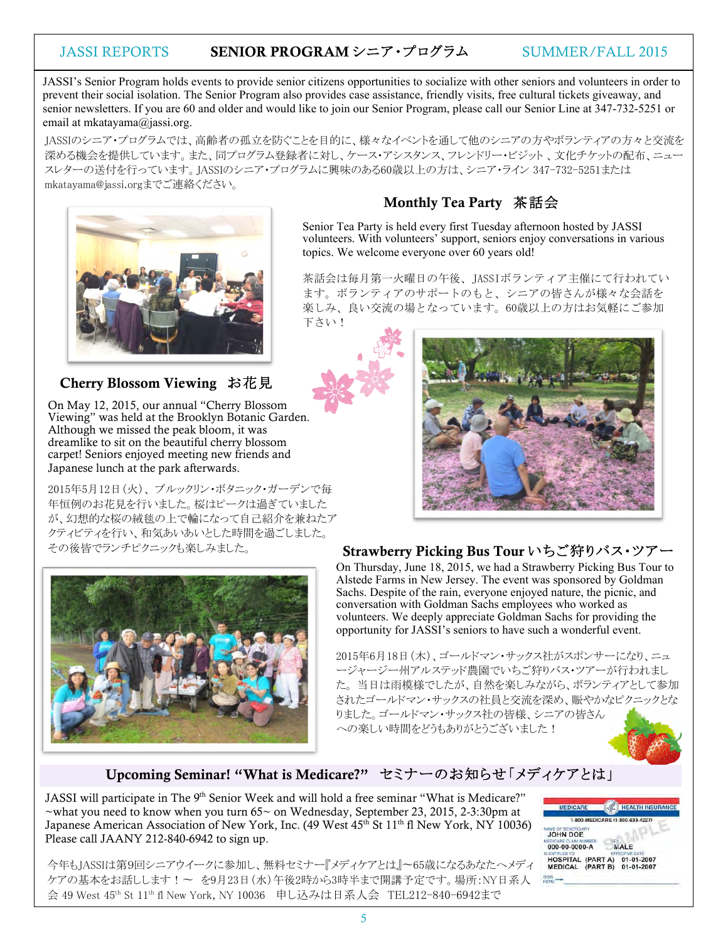#### JASSI REPORTS SENIOR PROGRAM シニア・プログラム SUMMER/FALL 2015

JASSI's Senior Program holds events to provide senior citizens opportunities to socialize with other seniors and volunteers in order to prevent their social isolation. The Senior Program also provides case assistance, friendly visits, free cultural tickets giveaway, and senior newsletters. If you are 60 and older and would like to join our Senior Program, please call our Senior Line at 347-732-5251 or email at mkatayama@jassi.org.

JASSIのシニア・プログラムでは、高齢者の孤立を防ぐことを目的に、様々なイベントを通して他のシニアの方やボランティアの方々と交流を 深める機会を提供しています。また、同プログラム登録者に対し、ケース・アシスタンス、フレンドリー・ビジット、文化チケットの配布、ニュー スレターの送付を行っています。JASSIのシニア・プログラムに興味のある60歳以上の方は、シニア・ライン 347-732-5251または mkatayama@jassi.orgまでご連絡ください。



#### Cherry Blossom Viewing お花見

On May 12, 2015, our annual "Cherry Blossom Viewing" was held at the Brooklyn Botanic Garden. Although we missed the peak bloom, it was dreamlike to sit on the beautiful cherry blossom carpet! Seniors enjoyed meeting new friends and Japanese lunch at the park afterwards.

2015年5月12日(火)、 ブルックリン・ボタニック・ガーデンで毎 年恒例のお花見を行いました。桜はピークは過ぎていました が、幻想的な桜の絨毯の上で輪になって自己紹介を兼ねたア クティビティを行い、和気あいあいとした時間を過ごしました。 その後皆でランチピクニックも楽しみました。



## Monthly Tea Party 茶話会

Senior Tea Party is held every first Tuesday afternoon hosted by JASSI volunteers. With volunteers' support, seniors enjoy conversations in various topics. We welcome everyone over 60 years old!

茶話会は毎月第一火曜日の午後、JASSIボランティア主催にて行われてい ます。ボランティアのサポートのもと、シニアの皆さんが様々な会話を 楽しみ、良い交流の場となっています。60歳以上の方はお気軽にご参加 下さい!





#### Strawberry Picking Bus Tour いちご狩りバス・ツアー

On Thursday, June 18, 2015, we had a Strawberry Picking Bus Tour to Alstede Farms in New Jersey. The event was sponsored by Goldman Sachs. Despite of the rain, everyone enjoyed nature, the picnic, and conversation with Goldman Sachs employees who worked as volunteers. We deeply appreciate Goldman Sachs for providing the opportunity for JASSI's seniors to have such a wonderful event.

2015年6月18日(木)、ゴールドマン・サックス社がスポンサーになり、ニュ ージャージー州アルステッド農園でいちご狩りバス・ツアーが行われまし た。 当日は雨模様でしたが、自然を楽しみながら、ボランティアとして参加 されたゴールドマン・サックスの社員と交流を深め、賑やかなピクニックとな りました。ゴールドマン・サックス社の皆様、シニアの皆さん への楽しい時間をどうもありがとうございました!

#### Upcoming Seminar! "What is Medicare?" セミナーのお知らせ「メディケアとは」

JASSI will participate in The 9<sup>th</sup> Senior Week and will hold a free seminar "What is Medicare?"  $\sim$ what you need to know when you turn 65 $\sim$  on Wednesday, September 23, 2015, 2-3:30pm at Japanese American Association of New York, Inc. (49 West 45<sup>th</sup> St 11<sup>th</sup> fl New York, NY 10036) Please call JAANY 212-840-6942 to sign up.



今年もJASSIは第9回シニアウイークに参加し、無料セミナー『メディケアとは』~65歳になるあなたへメディ ケアの基本をお話しします!~ を9月23日(水)午後2時から3時半まで開講予定です。場所:NY日系人 会 49 West 45th St 11th fl New York, NY 10036 申し込みは日系人会 TEL212-840-6942まで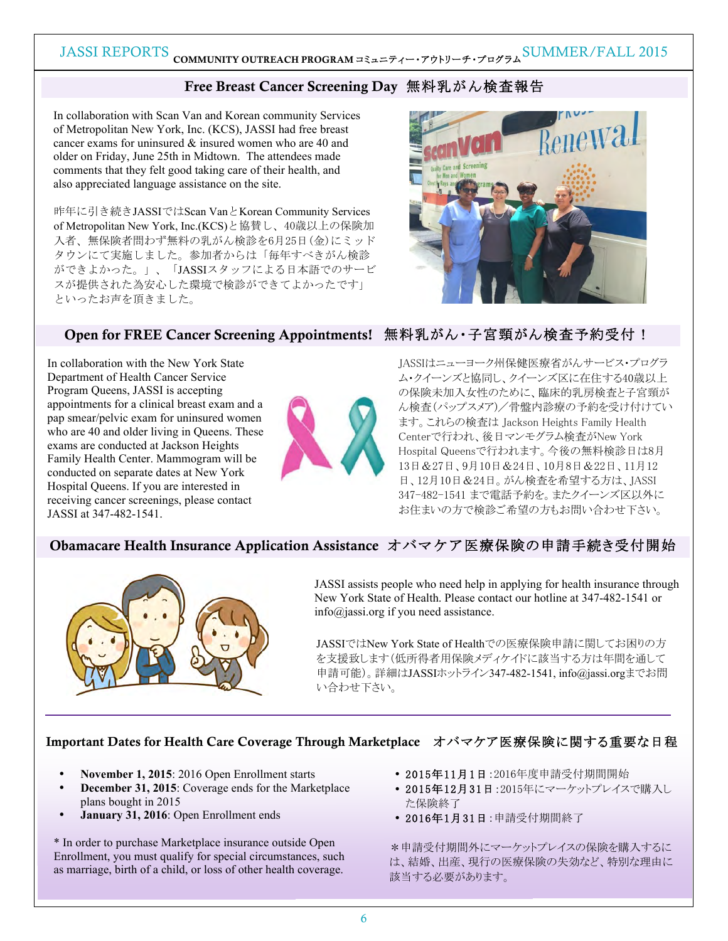## JASSI REPORTS COMMUNITY OUTREACH PROGRAM コミュニティー・アウトリーチ・プログラム SUMMER/FALL 2015

### Free Breast Cancer Screening Day無料乳がん検査報告

In collaboration with Scan Van and Korean community Services of Metropolitan New York, Inc. (KCS), JASSI had free breast cancer exams for uninsured & insured women who are 40 and older on Friday, June 25th in Midtown. The attendees made comments that they felt good taking care of their health, and also appreciated language assistance on the site.

昨年に引き続きJASSIではScan VanとKorean Community Services of Metropolitan New York, Inc.(KCS)と協賛し、40歳以上の保険加 入者、無保険者問わず無料の乳がん検診を6月25日(金)にミッド タウンにて実施しました。参加者からは「毎年すべきがん検診 ができよかった。」、「JASSIスタッフによる日本語でのサービ スが提供された為安心した環境で検診ができてよかったです」 といったお声を頂きました。



#### Open for FREE Cancer Screening Appointments! 無料乳がん・子宮頸がん検査予約受付!

In collaboration with the New York State Department of Health Cancer Service Program Queens, JASSI is accepting appointments for a clinical breast exam and a pap smear/pelvic exam for uninsured women who are 40 and older living in Queens. These exams are conducted at Jackson Heights Family Health Center. Mammogram will be conducted on separate dates at New York Hospital Queens. If you are interested in receiving cancer screenings, please contact JASSI at 347-482-1541.



JASSIはニューヨーク州保健医療省がんサービス・プログラ ム・クイーンズと協同し、クイーンズ区に在住する40歳以上 の保険未加入女性のために、臨床的乳房検査と子宮頸が ん検査(パップスメア)/骨盤内診療の予約を受け付けてい ます。これらの検査は Jackson Heights Family Health Centerで行われ、後日マンモグラム検査がNew York Hospital Queensで行われます。今後の無料検診日は8月 13日&27日、9月10日&24日、10月8日&22日、11月12 日、12月10日&24日。がん検査を希望する方は、JASSI 347-482-1541 まで電話予約を。またクイーンズ区以外に お住まいの方で検診ご希望の方もお問い合わせ下さい。

#### Obamacare Health Insurance Application Assistance オバマケア医療保険の申請手続き受付開始



JASSI assists people who need help in applying for health insurance through New York State of Health. Please contact our hotline at 347-482-1541 or info@jassi.org if you need assistance.

JASSIではNew York State of Healthでの医療保険申請に関してお困りの方 を支援致します(低所得者用保険メディケイドに該当する方は年間を通して 申請可能)。詳細はJASSIホットライン347-482-1541, info@jassi.orgまでお問 い合わせ下さい。

#### Important Dates for Health Care Coverage Through Marketplace オバマケア医療保険に関する重要な日程

- にち • **November 1, 2015**: 2016 Open Enrollment starts
	- **December 31, 2015**: Coverage ends for the Marketplace plans bought in 2015
	- **January 31, 2016**: Open Enrollment ends

\* In order to purchase Marketplace insurance outside Open Enrollment, you must qualify for special circumstances, such as marriage, birth of a child, or loss of other health coverage.

- 2015年11月1日:2016年度申請受付期間開始
- 2015年12月31日:2015年にマーケットプレイスで購入し た保険終了
- 2016年1月31日:申請受付期間終了

\*申請受付期間外にマーケットプレイスの保険を購入するに は、結婚、出産、現行の医療保険の失効など、特別な理由に 該当する必要があります。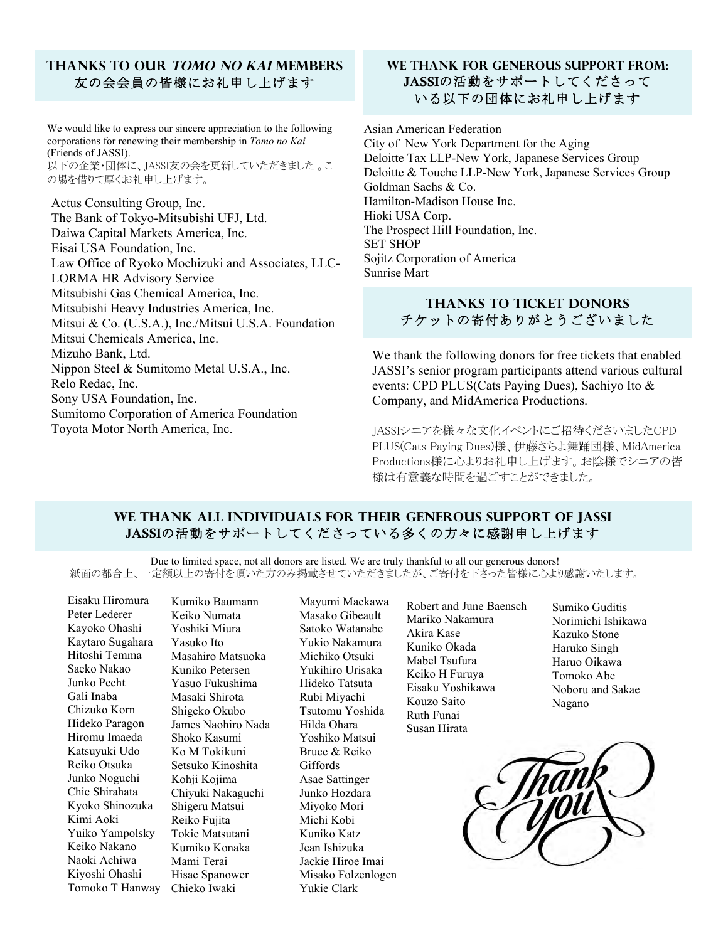#### **Thanks to our Tomo no Kai Members** 友の会会員の皆様にお礼申し上げます

We would like to express our sincere appreciation to the following corporations for renewing their membership in *Tomo no Kai* (Friends of JASSI). 以下の企業・団体に、JASSI友の会を更新していただきました 。こ の場を借りて厚くお礼申し上げます。

Actus Consulting Group, Inc. The Bank of Tokyo-Mitsubishi UFJ, Ltd. Daiwa Capital Markets America, Inc. Eisai USA Foundation, Inc. Law Office of Ryoko Mochizuki and Associates, LLC-LORMA HR Advisory Service Mitsubishi Gas Chemical America, Inc. Mitsubishi Heavy Industries America, Inc. Mitsui & Co. (U.S.A.), Inc./Mitsui U.S.A. Foundation Mitsui Chemicals America, Inc. Mizuho Bank, Ltd. Nippon Steel & Sumitomo Metal U.S.A., Inc. Relo Redac, Inc. Sony USA Foundation, Inc. Sumitomo Corporation of America Foundation Toyota Motor North America, Inc.

#### **We thank FOR generous support from:** JASSIの活動をサポートしてくださって いる以下の団体にお礼申し上げます

Asian American Federation City of New York Department for the Aging Deloitte Tax LLP-New York, Japanese Services Group Deloitte & Touche LLP-New York, Japanese Services Group Goldman Sachs & Co. Hamilton-Madison House Inc. Hioki USA Corp. The Prospect Hill Foundation, Inc. SET SHOP Sojitz Corporation of America Sunrise Mart

#### **Thanks to Ticket Donors** チケットの寄付ありがとうございました

We thank the following donors for free tickets that enabled JASSI's senior program participants attend various cultural events: CPD PLUS(Cats Paying Dues), Sachiyo Ito & Company, and MidAmerica Productions.

JASSIシニアを様々な文化イベントにご招待くださいましたCPD PLUS(Cats Paying Dues)様、伊藤さちよ舞踊団様、MidAmerica Productions様に心よりお礼申し上げます。お陰様でシニアの皆 様は有意義な時間を過ごすことができました。

#### **We thank all individuals for their generous support of JASSI** JASSIの活動をサポートしてくださっている多くの方々に感謝申し上げます

Due to limited space, not all donors are listed. We are truly thankful to all our generous donors! 紙面の都合上、一定額以上の寄付を頂いた方のみ掲載させていただきましたが、ご寄付を下さった皆様に心より感謝いたします。

Eisaku Hiromura Peter Lederer Kayoko Ohashi Kaytaro Sugahara Hitoshi Temma Saeko Nakao Junko Pecht Gali Inaba Chizuko Korn Hideko Paragon Hiromu Imaeda Katsuyuki Udo Reiko Otsuka Junko Noguchi Chie Shirahata Kyoko Shinozuka Kimi Aoki Yuiko Yampolsky Keiko Nakano Naoki Achiwa Kiyoshi Ohashi Tomoko T Hanway

Kumiko Baumann Keiko Numata Yoshiki Miura Yasuko Ito Masahiro Matsuoka Kuniko Petersen Yasuo Fukushima Masaki Shirota Shigeko Okubo James Naohiro Nada Shoko Kasumi Ko M Tokikuni Setsuko Kinoshita Kohji Kojima Chiyuki Nakaguchi Shigeru Matsui Reiko Fujita Tokie Matsutani Kumiko Konaka Mami Terai Hisae Spanower Chieko Iwaki

Mayumi Maekawa Masako Gibeault Satoko Watanabe Yukio Nakamura Michiko Otsuki Yukihiro Urisaka Hideko Tatsuta Rubi Miyachi Tsutomu Yoshida Hilda Ohara Yoshiko Matsui Bruce & Reiko Giffords Asae Sattinger Junko Hozdara Miyoko Mori Michi Kobi Kuniko Katz Jean Ishizuka Jackie Hiroe Imai Misako Folzenlogen Yukie Clark

Robert and June Baensch Mariko Nakamura Akira Kase Kuniko Okada Mabel Tsufura Keiko H Furuya Eisaku Yoshikawa Kouzo Saito Ruth Funai Susan Hirata

Sumiko Guditis Norimichi Ishikawa Kazuko Stone Haruko Singh Haruo Oikawa Tomoko Abe Noboru and Sakae Nagano